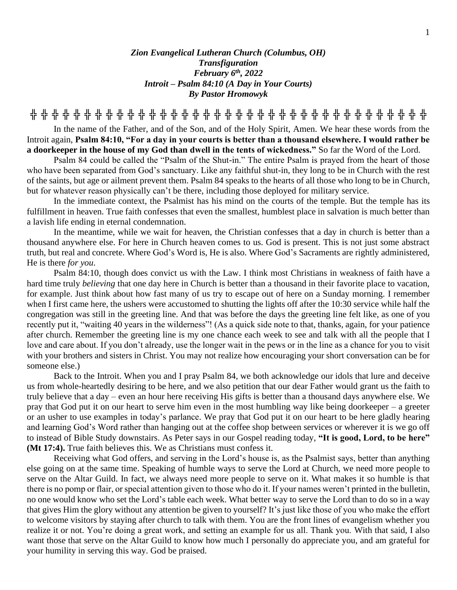## *Zion Evangelical Lutheran Church (Columbus, OH) Transfiguration February 6th , 2022 Introit – Psalm 84:10 (A Day in Your Courts) By Pastor Hromowyk*

**╬ ╬ ╬ ╬ ╬ ╬ ╬ ╬ ╬ ╬ ╬ ╬ ╬ ╬ ╬ ╬ ╬ ╬ ╬ ╬ ╬ ╬ ╬ ╬ ╬ ╬ ╬ ╬ ╬ ╬ ╬ ╬ ╬ ╬ ╬ ╬ ╬**

In the name of the Father, and of the Son, and of the Holy Spirit, Amen. We hear these words from the Introit again, **Psalm 84:10, "For a day in your courts is better than a thousand elsewhere. I would rather be a doorkeeper in the house of my God than dwell in the tents of wickedness."** So far the Word of the Lord.

Psalm 84 could be called the "Psalm of the Shut-in." The entire Psalm is prayed from the heart of those who have been separated from God's sanctuary. Like any faithful shut-in, they long to be in Church with the rest of the saints, but age or ailment prevent them. Psalm 84 speaks to the hearts of all those who long to be in Church, but for whatever reason physically can't be there, including those deployed for military service.

In the immediate context, the Psalmist has his mind on the courts of the temple. But the temple has its fulfillment in heaven. True faith confesses that even the smallest, humblest place in salvation is much better than a lavish life ending in eternal condemnation.

In the meantime, while we wait for heaven, the Christian confesses that a day in church is better than a thousand anywhere else. For here in Church heaven comes to us. God is present. This is not just some abstract truth, but real and concrete. Where God's Word is, He is also. Where God's Sacraments are rightly administered, He is there *for you*.

Psalm 84:10, though does convict us with the Law. I think most Christians in weakness of faith have a hard time truly *believing* that one day here in Church is better than a thousand in their favorite place to vacation, for example. Just think about how fast many of us try to escape out of here on a Sunday morning. I remember when I first came here, the ushers were accustomed to shutting the lights off after the 10:30 service while half the congregation was still in the greeting line. And that was before the days the greeting line felt like, as one of you recently put it, "waiting 40 years in the wilderness"! (As a quick side note to that, thanks, again, for your patience after church. Remember the greeting line is my one chance each week to see and talk with all the people that I love and care about. If you don't already, use the longer wait in the pews or in the line as a chance for you to visit with your brothers and sisters in Christ. You may not realize how encouraging your short conversation can be for someone else.)

Back to the Introit. When you and I pray Psalm 84, we both acknowledge our idols that lure and deceive us from whole-heartedly desiring to be here, and we also petition that our dear Father would grant us the faith to truly believe that a day – even an hour here receiving His gifts is better than a thousand days anywhere else. We pray that God put it on our heart to serve him even in the most humbling way like being doorkeeper – a greeter or an usher to use examples in today's parlance. We pray that God put it on our heart to be here gladly hearing and learning God's Word rather than hanging out at the coffee shop between services or wherever it is we go off to instead of Bible Study downstairs. As Peter says in our Gospel reading today, **"It is good, Lord, to be here" (Mt 17:4).** True faith believes this. We as Christians must confess it.

Receiving what God offers, and serving in the Lord's house is, as the Psalmist says, better than anything else going on at the same time. Speaking of humble ways to serve the Lord at Church, we need more people to serve on the Altar Guild. In fact, we always need more people to serve on it. What makes it so humble is that there is no pomp or flair, or special attention given to those who do it. If your names weren't printed in the bulletin, no one would know who set the Lord's table each week. What better way to serve the Lord than to do so in a way that gives Him the glory without any attention be given to yourself? It's just like those of you who make the effort to welcome visitors by staying after church to talk with them. You are the front lines of evangelism whether you realize it or not. You're doing a great work, and setting an example for us all. Thank you. With that said, I also want those that serve on the Altar Guild to know how much I personally do appreciate you, and am grateful for your humility in serving this way. God be praised.